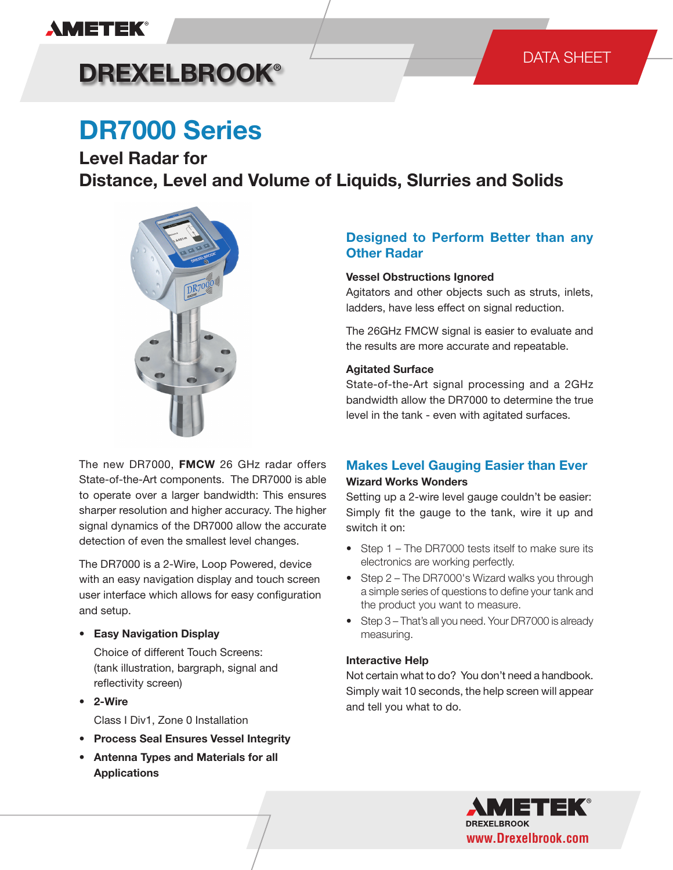### **AMETEK®**

# **DREXELBROOK®**

## **DR7000 Series**

**Level Radar for Distance, Level and Volume of Liquids, Slurries and Solids**



The new DR7000, **FMCW** 26 GHz radar offers State-of-the-Art components. The DR7000 is able to operate over a larger bandwidth: This ensures sharper resolution and higher accuracy. The higher signal dynamics of the DR7000 allow the accurate detection of even the smallest level changes.

The DR7000 is a 2-Wire, Loop Powered, device with an easy navigation display and touch screen user interface which allows for easy configuration and setup.

#### **• Easy Navigation Display**

Choice of different Touch Screens: (tank illustration, bargraph, signal and reflectivity screen)

- **• 2-Wire**
	- Class I Div1, Zone 0 Installation
- **• Process Seal Ensures Vessel Integrity**
- **• Antenna Types and Materials for all Applications**

### **Designed to Perform Better than any Other Radar**

### **Vessel Obstructions Ignored**

Agitators and other objects such as struts, inlets, ladders, have less effect on signal reduction.

The 26GHz FMCW signal is easier to evaluate and the results are more accurate and repeatable.

### **Agitated Surface**

State-of-the-Art signal processing and a 2GHz bandwidth allow the DR7000 to determine the true level in the tank - even with agitated surfaces.

### **Makes Level Gauging Easier than Ever Wizard Works Wonders**

Setting up a 2-wire level gauge couldn't be easier: Simply fit the gauge to the tank, wire it up and switch it on:

- Step 1 The DR7000 tests itself to make sure its electronics are working perfectly.
- Step 2 The DR7000's Wizard walks you through a simple series of questions to define your tank and the product you want to measure.
- Step 3 That's all you need. Your DR7000 is already measuring.

### **Interactive Help**

Not certain what to do? You don't need a handbook. Simply wait 10 seconds, the help screen will appear and tell you what to do.

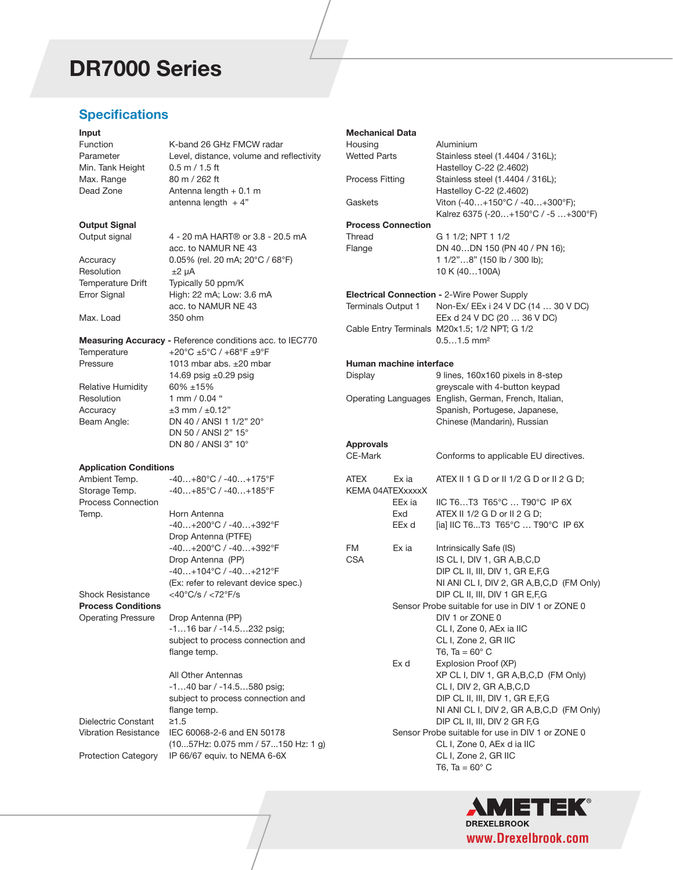## **DR7000 Series**

### **Specifications**

#### **Input**

| Input                         |                                                                 | <b>Mechanical Data</b>    |        |                                                                      |
|-------------------------------|-----------------------------------------------------------------|---------------------------|--------|----------------------------------------------------------------------|
| Function                      | K-band 26 GHz FMCW radar                                        | Housing                   |        | Aluminium                                                            |
| Parameter                     | Level, distance, volume and reflectivity                        | <b>Wetted Parts</b>       |        | Stainless steel (1.4404 / 316L);                                     |
| Min. Tank Height              | $0.5$ m $/ 1.5$ ft                                              |                           |        | Hastelloy C-22 (2.4602)                                              |
| Max. Range                    | 80 m / 262 ft                                                   | <b>Process Fitting</b>    |        | Stainless steel (1.4404 / 316L);                                     |
| Dead Zone                     | Antenna length $+0.1$ m                                         |                           |        | Hastelloy C-22 (2.4602)                                              |
|                               | antenna length $+4"$                                            | Gaskets                   |        | Viton (-40+150°C / -40+300°F);<br>Kalrez 6375 (-20+150°C / -5+300°F) |
| <b>Output Signal</b>          |                                                                 | <b>Process Connection</b> |        |                                                                      |
| Output signal                 | 4 - 20 mA HART® or 3.8 - 20.5 mA                                | Thread                    |        | G 1 1/2; NPT 1 1/2                                                   |
|                               | acc. to NAMUR NE 43                                             | Flange                    |        | DN 40DN 150 (PN 40 / PN 16);                                         |
| Accuracy                      | 0.05% (rel. 20 mA; 20°C / 68°F)                                 |                           |        | 1 1/2"8" (150 lb / 300 lb);                                          |
| Resolution                    | $±2 \mu A$                                                      |                           |        | 10 K (40100A)                                                        |
| Temperature Drift             | Typically 50 ppm/K                                              |                           |        |                                                                      |
| Error Signal                  | High: 22 mA; Low: 3.6 mA                                        |                           |        | <b>Electrical Connection - 2-Wire Power Supply</b>                   |
|                               | acc. to NAMUR NE 43                                             | <b>Terminals Output 1</b> |        | Non-Ex/ EEx i 24 V DC (14  30 V DC)                                  |
| Max. Load                     | 350 ohm                                                         |                           |        | EEx d 24 V DC (20  36 V DC)                                          |
|                               |                                                                 |                           |        | Cable Entry Terminals M20x1.5; 1/2 NPT; G 1/2                        |
|                               | <b>Measuring Accuracy - Reference conditions acc. to IEC770</b> |                           |        | $0.51.5$ mm <sup>2</sup>                                             |
| Temperature                   | +20°C ±5°C / +68°F ±9°F                                         |                           |        |                                                                      |
| Pressure                      | 1013 mbar abs. $\pm 20$ mbar                                    | Human machine interface   |        |                                                                      |
|                               | 14.69 psig $\pm 0.29$ psig                                      | Display                   |        | 9 lines, 160x160 pixels in 8-step                                    |
| Relative Humidity             | 60% ±15%                                                        |                           |        | greyscale with 4-button keypad                                       |
| Resolution                    | 1 mm / 0.04 "                                                   |                           |        | Operating Languages English, German, French, Italian,                |
| Accuracy                      | $\pm 3$ mm / $\pm 0.12"$                                        |                           |        | Spanish, Portugese, Japanese,                                        |
| Beam Angle:                   | DN 40 / ANSI 1 1/2" 20°                                         |                           |        | Chinese (Mandarin), Russian                                          |
|                               | DN 50 / ANSI 2" 15°                                             |                           |        |                                                                      |
|                               | DN 80 / ANSI 3" 10°                                             | <b>Approvals</b>          |        |                                                                      |
|                               |                                                                 | CE-Mark                   |        | Conforms to applicable EU directives.                                |
| <b>Application Conditions</b> |                                                                 |                           |        |                                                                      |
| Ambient Temp.                 | $-40+80^{\circ}C/ -40+175^{\circ}F$                             | <b>ATEX</b>               | Ex ia  | ATEX II 1 G D or II 1/2 G D or II 2 G D;                             |
| Storage Temp.                 | $-40+85^{\circ}C/ -40+185^{\circ}F$                             | KEMA 04ATEXxxxxX          |        |                                                                      |
| <b>Process Connection</b>     |                                                                 |                           | EEx ia | IIC T6T3 T65°C  T90°C IP 6X                                          |
| Temp.                         | Horn Antenna                                                    |                           | Exd    | ATEX II 1/2 G D or II 2 G D;                                         |
|                               | -40+200°C / -40+392°F                                           |                           | EEx d  | [ia] IIC T6T3 T65°C  T90°C IP 6X                                     |
|                               | Drop Antenna (PTFE)                                             |                           |        |                                                                      |
|                               | -40+200°C / -40+392°F                                           | FM                        | Ex ia  | Intrinsically Safe (IS)                                              |
|                               | Drop Antenna (PP)                                               | <b>CSA</b>                |        | IS CL I, DIV 1, GR A, B, C, D                                        |
|                               | -40+104°C / -40+212°F                                           |                           |        | DIP CL II, III, DIV 1, GR E, F, G                                    |
|                               | (Ex: refer to relevant device spec.)                            |                           |        | NI ANI CL I, DIV 2, GR A, B, C, D (FM Only)                          |
| Shock Resistance              | <40°C/s / <72°F/s                                               |                           |        | DIP CL II, III, DIV 1 GR E, F, G                                     |
| <b>Process Conditions</b>     |                                                                 |                           |        | Sensor Probe suitable for use in DIV 1 or ZONE 0                     |
| <b>Operating Pressure</b>     | Drop Antenna (PP)                                               |                           |        | DIV 1 or ZONE 0                                                      |
|                               | -116 bar / -14.5232 psig;                                       |                           |        | CL I, Zone 0, AEx ia IIC                                             |
|                               | subject to process connection and                               |                           |        | CL I, Zone 2, GR IIC                                                 |
|                               | flange temp.                                                    |                           |        | T6, Ta = $60^{\circ}$ C                                              |
|                               |                                                                 |                           | Ex d   | Explosion Proof (XP)                                                 |
|                               | All Other Antennas                                              |                           |        | XP CL I, DIV 1, GR A, B, C, D (FM Only)                              |
|                               | $-140$ bar / $-14.5580$ psig;                                   |                           |        | CL I, DIV 2, GR A, B, C, D                                           |
|                               | subject to process connection and                               |                           |        | DIP CL II, III, DIV 1, GR E, F, G                                    |
|                               | flange temp.                                                    |                           |        | NI ANI CL I, DIV 2, GR A, B, C, D (FM Only)                          |
| Dielectric Constant           | $≥1.5$                                                          |                           |        | DIP CL II, III, DIV 2 GR F,G                                         |
| <b>Vibration Resistance</b>   | IEC 60068-2-6 and EN 50178                                      |                           |        | Sensor Probe suitable for use in DIV 1 or ZONE 0                     |
|                               | $(1057$ Hz: 0.075 mm / 57150 Hz: 1 g)                           |                           |        | CL I, Zone 0, AEx d ia IIC                                           |
| <b>Protection Category</b>    | IP 66/67 equiv. to NEMA 6-6X                                    |                           |        | CL I, Zone 2, GR IIC                                                 |
|                               |                                                                 |                           |        | T6, Ta = $60^{\circ}$ C                                              |
|                               |                                                                 |                           |        |                                                                      |

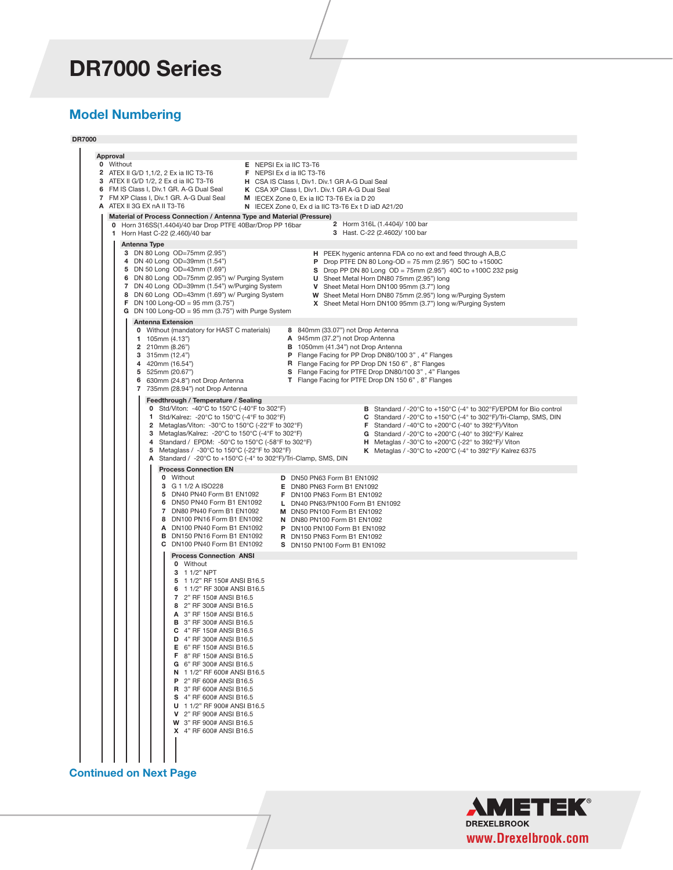### **DR7000 Series**

### **Model Numbering**

**DR7000**

| Approval                                                                                                                                       |                                                                                                                                                          |  |  |  |
|------------------------------------------------------------------------------------------------------------------------------------------------|----------------------------------------------------------------------------------------------------------------------------------------------------------|--|--|--|
| 0 Without                                                                                                                                      | <b>E</b> NEPSI Ex ia IIC T3-T6                                                                                                                           |  |  |  |
| <b>2</b> ATEX II G/D 1,1/2, 2 Ex ia IIC T3-T6<br>3 ATEX II G/D 1/2, 2 Ex d ia IIC T3-T6                                                        | <b>F</b> NEPSI Ex d ia IIC T3-T6<br>H CSA IS Class I, Div1. Div.1 GR A-G Dual Seal                                                                       |  |  |  |
| 6 FM IS Class I, Div.1 GR. A-G Dual Seal<br>K CSA XP Class I, Div1. Div.1 GR A-G Dual Seal                                                     |                                                                                                                                                          |  |  |  |
| 7 FM XP Class I, Div.1 GR. A-G Dual Seal                                                                                                       | M IECEX Zone 0, Ex ia IIC T3-T6 Ex ia D 20                                                                                                               |  |  |  |
| A ATEX II 3G EX nA II T3-T6                                                                                                                    | N IECEX Zone 0, Ex d ia IIC T3-T6 Ex t D iaD A21/20                                                                                                      |  |  |  |
| Material of Process Connection / Antenna Type and Material (Pressure)                                                                          |                                                                                                                                                          |  |  |  |
| 0 Horn 316SS(1.4404)/40 bar Drop PTFE 40Bar/Drop PP 16bar                                                                                      | 2 Horm 316L (1.4404)/ 100 bar                                                                                                                            |  |  |  |
| 1 Horn Hast C-22 (2.460)/40 bar                                                                                                                | 3 Hast. C-22 (2.4602)/ 100 bar                                                                                                                           |  |  |  |
| Antenna Type                                                                                                                                   |                                                                                                                                                          |  |  |  |
| 3 DN 80 Long OD=75mm (2.95")                                                                                                                   | H PEEK hygenic antenna FDA co no ext and feed through A,B,C                                                                                              |  |  |  |
| 4 DN 40 Long OD=39mm (1.54")                                                                                                                   | <b>P</b> Drop PTFE DN 80 Long-OD = 75 mm (2.95") 50C to +1500C                                                                                           |  |  |  |
| 5 DN 50 Long OD=43mm (1.69")<br>6 DN 80 Long OD=75mm (2.95") w/ Purging System                                                                 | <b>S</b> Drop PP DN 80 Long OD = 75mm (2.95") 40C to +100C 232 psig                                                                                      |  |  |  |
| 7 DN 40 Long OD=39mm (1.54") w/Purging System                                                                                                  | U Sheet Metal Horn DN80 75mm (2.95") long<br>V Sheet Metal Horn DN100 95mm (3.7") long                                                                   |  |  |  |
| 8 DN 60 Long OD=43mm (1.69") w/ Purging System                                                                                                 | W Sheet Metal Horn DN80 75mm (2.95") long w/Purging System                                                                                               |  |  |  |
| <b>F</b> DN 100 Long-OD = $95$ mm (3.75")                                                                                                      | X Sheet Metal Horn DN100 95mm (3.7") long w/Purging System                                                                                               |  |  |  |
| G DN 100 Long-OD = $95$ mm (3.75") with Purge System                                                                                           |                                                                                                                                                          |  |  |  |
| <b>Antenna Extension</b>                                                                                                                       |                                                                                                                                                          |  |  |  |
| 0 Without (mandatory for HAST C materials)                                                                                                     | 8 840mm (33.07") not Drop Antenna                                                                                                                        |  |  |  |
| 1 105mm $(4.13")$                                                                                                                              | A 945mm (37.2") not Drop Antenna                                                                                                                         |  |  |  |
| 2 210mm (8.26")<br>3 315mm $(12.4)$                                                                                                            | B 1050mm (41.34") not Drop Antenna<br>P Flange Facing for PP Drop DN80/100 3", 4" Flanges                                                                |  |  |  |
| 4 420mm (16.54")                                                                                                                               | R Flange Facing for PP Drop DN 150 6", 8" Flanges                                                                                                        |  |  |  |
| 5 525mm (20.67")                                                                                                                               | S Flange Facing for PTFE Drop DN80/100 3", 4" Flanges                                                                                                    |  |  |  |
| 6 630mm (24.8") not Drop Antenna                                                                                                               | T Flange Facing for PTFE Drop DN 150 6", 8" Flanges                                                                                                      |  |  |  |
| 7 735mm (28.94") not Drop Antenna                                                                                                              |                                                                                                                                                          |  |  |  |
| Feedthrough / Temperature / Sealing                                                                                                            |                                                                                                                                                          |  |  |  |
| 0 Std/Viton: -40°C to 150°C (-40°F to 302°F)                                                                                                   | <b>B</b> Standard / -20 $^{\circ}$ C to +150 $^{\circ}$ C (-4 $^{\circ}$ to 302 $^{\circ}$ F)/EPDM for Bio control                                       |  |  |  |
| 1 Std/Kalrez: -20°C to 150°C (-4°F to 302°F)                                                                                                   | C Standard / -20°C to +150°C (-4° to 302°F)/Tri-Clamp, SMS, DIN                                                                                          |  |  |  |
| 2 Metaglas/Viton: -30 $\degree$ C to 150 $\degree$ C (-22 $\degree$ F to 302 $\degree$ F)<br>3 Metaglas/Kalrez: -20°C to 150°C (-4°F to 302°F) | <b>F</b> Standard / -40°C to +200°C (-40° to 392°F)/Viton<br>G Standard / -20 $\degree$ C to +200 $\degree$ C (-40 $\degree$ to 392 $\degree$ F)/ Kalrez |  |  |  |
| 4 Standard / EPDM: -50°C to 150°C (-58°F to 302°F)                                                                                             | <b>H</b> Metaglas / -30°C to +200°C (-22° to 392°F)/ Viton                                                                                               |  |  |  |
| Metaglass / -30°C to 150°C (-22°F to 302°F)<br>5                                                                                               | <b>K</b> Metaglas / -30°C to +200°C (-4° to 392°F)/ Kalrez 6375                                                                                          |  |  |  |
| A Standard / -20°C to +150°C (-4° to 302°F)/Tri-Clamp, SMS, DIN                                                                                |                                                                                                                                                          |  |  |  |
| <b>Process Connection EN</b>                                                                                                                   |                                                                                                                                                          |  |  |  |
| 0 Without                                                                                                                                      | D DN50 PN63 Form B1 EN1092                                                                                                                               |  |  |  |
| 3 G 1 1/2 A ISO228<br>5 DN40 PN40 Form B1 EN1092                                                                                               | E DN80 PN63 Form B1 EN1092                                                                                                                               |  |  |  |
| 6 DN50 PN40 Form B1 EN1092                                                                                                                     | F DN100 PN63 Form B1 EN1092<br>L DN40 PN63/PN100 Form B1 EN1092                                                                                          |  |  |  |
| 7 DN80 PN40 Form B1 EN1092                                                                                                                     | M DN50 PN100 Form B1 EN1092                                                                                                                              |  |  |  |
| 8 DN100 PN16 Form B1 EN1092                                                                                                                    | N DN80 PN100 Form B1 EN1092                                                                                                                              |  |  |  |
| A DN100 PN40 Form B1 EN1092                                                                                                                    | P DN100 PN100 Form B1 EN1092                                                                                                                             |  |  |  |
| B DN150 PN16 Form B1 EN1092                                                                                                                    | <b>R</b> DN150 PN63 Form B1 EN1092                                                                                                                       |  |  |  |
| C DN100 PN40 Form B1 EN1092                                                                                                                    | <b>S</b> DN150 PN100 Form B1 EN1092                                                                                                                      |  |  |  |
| <b>Process Connection ANSI</b>                                                                                                                 |                                                                                                                                                          |  |  |  |
| 0 Without<br>3 1 1/2" NPT                                                                                                                      |                                                                                                                                                          |  |  |  |
| 5 1 1/2" RF 150# ANSI B16.5                                                                                                                    |                                                                                                                                                          |  |  |  |
| 6 1 1/2" RF 300# ANSI B16.5                                                                                                                    |                                                                                                                                                          |  |  |  |
| 7 2" RF 150# ANSI B16.5                                                                                                                        |                                                                                                                                                          |  |  |  |
| 8 2" RF 300# ANSI B16.5                                                                                                                        |                                                                                                                                                          |  |  |  |
| A 3" RF 150# ANSI B16.5                                                                                                                        |                                                                                                                                                          |  |  |  |
| <b>B</b> 3" RF 300# ANSI B16.5<br>С<br>4" RF 150# ANSI B16.5                                                                                   |                                                                                                                                                          |  |  |  |
| D<br>4" RF 300# ANSI B16.5                                                                                                                     |                                                                                                                                                          |  |  |  |
| <b>E</b> 6" RF 150# ANSI B16.5                                                                                                                 |                                                                                                                                                          |  |  |  |
| <b>F</b> 8" RF 150# ANSI B16.5                                                                                                                 |                                                                                                                                                          |  |  |  |
| G 6" RF 300# ANSI B16.5                                                                                                                        |                                                                                                                                                          |  |  |  |
| N 1 1/2" RF 600# ANSI B16.5<br>2" RF 600# ANSI B16.5<br>P                                                                                      |                                                                                                                                                          |  |  |  |
| <b>R</b> 3" RF 600# ANSI B16.5                                                                                                                 |                                                                                                                                                          |  |  |  |
| S 4" RF 600# ANSI B16.5                                                                                                                        |                                                                                                                                                          |  |  |  |
| U 1 1/2" RF 900# ANSI B16.5                                                                                                                    |                                                                                                                                                          |  |  |  |
| 2" RF 900# ANSI B16.5<br>v                                                                                                                     |                                                                                                                                                          |  |  |  |
| W 3" RF 900# ANSI B16.5                                                                                                                        |                                                                                                                                                          |  |  |  |
| X 4" RF 600# ANSI B16.5                                                                                                                        |                                                                                                                                                          |  |  |  |
|                                                                                                                                                |                                                                                                                                                          |  |  |  |
|                                                                                                                                                |                                                                                                                                                          |  |  |  |
|                                                                                                                                                |                                                                                                                                                          |  |  |  |

### **Continued on Next Page**